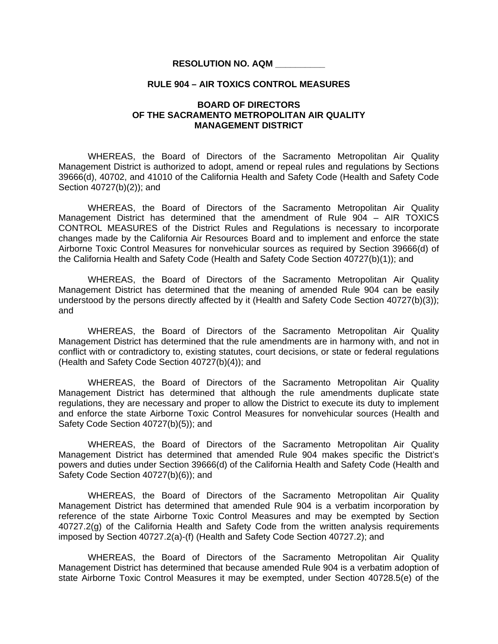## **RESOLUTION NO. AQM \_\_\_\_\_\_\_\_\_\_**

## **RULE 904 – AIR TOXICS CONTROL MEASURES**

## **BOARD OF DIRECTORS OF THE SACRAMENTO METROPOLITAN AIR QUALITY MANAGEMENT DISTRICT**

WHEREAS, the Board of Directors of the Sacramento Metropolitan Air Quality Management District is authorized to adopt, amend or repeal rules and regulations by Sections 39666(d), 40702, and 41010 of the California Health and Safety Code (Health and Safety Code Section 40727(b)(2)); and

 WHEREAS, the Board of Directors of the Sacramento Metropolitan Air Quality Management District has determined that the amendment of Rule 904 – AIR TOXICS CONTROL MEASURES of the District Rules and Regulations is necessary to incorporate changes made by the California Air Resources Board and to implement and enforce the state Airborne Toxic Control Measures for nonvehicular sources as required by Section 39666(d) of the California Health and Safety Code (Health and Safety Code Section 40727(b)(1)); and

 WHEREAS, the Board of Directors of the Sacramento Metropolitan Air Quality Management District has determined that the meaning of amended Rule 904 can be easily understood by the persons directly affected by it (Health and Safety Code Section 40727(b)(3)); and

 WHEREAS, the Board of Directors of the Sacramento Metropolitan Air Quality Management District has determined that the rule amendments are in harmony with, and not in conflict with or contradictory to, existing statutes, court decisions, or state or federal regulations (Health and Safety Code Section 40727(b)(4)); and

 WHEREAS, the Board of Directors of the Sacramento Metropolitan Air Quality Management District has determined that although the rule amendments duplicate state regulations, they are necessary and proper to allow the District to execute its duty to implement and enforce the state Airborne Toxic Control Measures for nonvehicular sources (Health and Safety Code Section 40727(b)(5)); and

WHEREAS, the Board of Directors of the Sacramento Metropolitan Air Quality Management District has determined that amended Rule 904 makes specific the District's powers and duties under Section 39666(d) of the California Health and Safety Code (Health and Safety Code Section 40727(b)(6)); and

WHEREAS, the Board of Directors of the Sacramento Metropolitan Air Quality Management District has determined that amended Rule 904 is a verbatim incorporation by reference of the state Airborne Toxic Control Measures and may be exempted by Section 40727.2(g) of the California Health and Safety Code from the written analysis requirements imposed by Section 40727.2(a)-(f) (Health and Safety Code Section 40727.2); and

WHEREAS, the Board of Directors of the Sacramento Metropolitan Air Quality Management District has determined that because amended Rule 904 is a verbatim adoption of state Airborne Toxic Control Measures it may be exempted, under Section 40728.5(e) of the